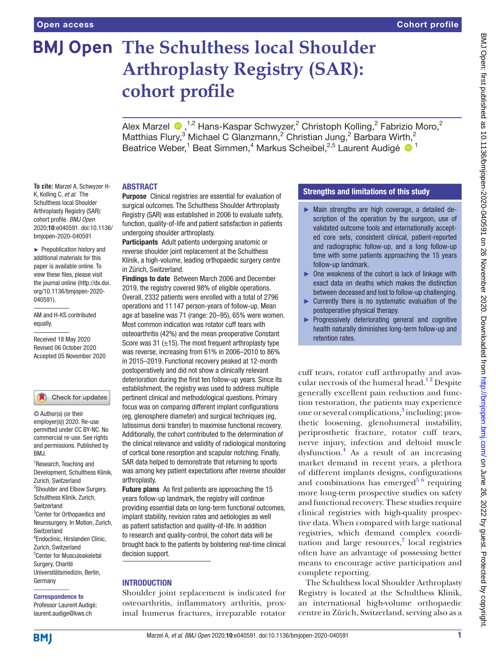# **BMJ Open The Schulthess local Shoulder Arthroplasty Registry (SAR): cohort profile**

Alex Marzel  $\bullet$  ,<sup>1,2</sup> Hans-Kaspar Schwyzer,<sup>2</sup> Christoph Kolling,<sup>2</sup> Fabrizio Moro,<sup>2</sup> Matthias Flury,<sup>3</sup> Michael C Glanzmann,<sup>2</sup> Christian Jung,<sup>2</sup> Barbara Wirth,<sup>2</sup> Beatrice Weber,<sup>1</sup> Beat Simmen,<sup>4</sup> Markus Scheibel,<sup>2,5</sup> Laurent Audigé <sup>1</sup>

## ABSTRACT

**To cite:** Marzel A, Schwyzer H-K, Kolling C, *et al*. The Schulthess local Shoulder Arthroplasty Registry (SAR): cohort profile. *BMJ Open* 2020;10:e040591. doi:10.1136/ bmjopen-2020-040591

► Prepublication history and additional materials for this paper is available online. To view these files, please visit the journal online (http://dx.doi. org/10.1136/bmjopen-2020- 040591).

AM and H-KS contributed equally.

Received 18 May 2020 Revised 06 October 2020 Accepted 05 November 2020



© Author(s) (or their employer(s)) 2020. Re-use permitted under CC BY-NC. No commercial re-use. See rights and permissions. Published by BMJ.

<sup>1</sup>Research, Teaching and Development, Schulthess Klinik, Zurich, Switzerland 2 Shoulder and Elbow Surgery, Schulthess Klinik, Zurich, Switzerland 3 Center for Orthopaedics and Neurosurgery, In Motion, Zurich, **Switzerland** 4 Endoclinic, Hirslanden Clinic, Zurich, Switzerland 5 Center for Musculoskeletal Surgery, Charité Universitätsmedizin, Berlin, Germany

#### Correspondence to

Professor Laurent Audigé; laurent.audige@kws.ch

Purpose Clinical registries are essential for evaluation of surgical outcomes. The Schulthess Shoulder Arthroplasty Registry (SAR) was established in 2006 to evaluate safety, function, quality-of-life and patient satisfaction in patients undergoing shoulder arthroplasty.

Participants Adult patients undergoing anatomic or reverse shoulder joint replacement at the Schulthess Klinik, a high-volume, leading orthopaedic surgery centre in Zürich, Switzerland.

Findings to date Between March 2006 and December 2019, the registry covered 98% of eligible operations. Overall, 2332 patients were enrolled with a total of 2796 operations and 11 147 person-years of follow-up. Mean age at baseline was 71 (range: 20–95), 65% were women. Most common indication was rotator cuff tears with osteoarthritis (42%) and the mean preoperative Constant Score was 31  $(\pm 15)$ . The most frequent arthroplasty type was reverse, increasing from 61% in 2006–2010 to 86% in 2015–2019. Functional recovery peaked at 12-month postoperatively and did not show a clinically relevant deterioration during the first ten follow-up years. Since its establishment, the registry was used to address multiple pertinent clinical and methodological questions. Primary focus was on comparing different implant configurations (eg, glenosphere diameter) and surgical techniques (eg, latissimus dorsi transfer) to maximise functional recovery. Additionally, the cohort contributed to the determination of the clinical relevance and validity of radiological monitoring of cortical bone resorption and scapular notching. Finally, SAR data helped to demonstrate that returning to sports was among key patient expectations after reverse shoulder arthroplasty.

Future plans As first patients are approaching the 15 years follow-up landmark, the registry will continue providing essential data on long-term functional outcomes, implant stability, revision rates and aetiologies as well as patient satisfaction and quality-of-life. In addition to research and quality-control, the cohort data will be brought back to the patients by bolstering real-time clinical decision support.

# **INTRODUCTION**

Shoulder joint replacement is indicated for osteoarthritis, inflammatory arthritis, proximal humerus fractures, irreparable rotator

# Strengths and limitations of this study

- ► Main strengths are high coverage, a detailed description of the operation by the surgeon, use of validated outcome tools and internationally accepted core sets, consistent clinical, patient-reported and radiographic follow-up, and a long follow-up time with some patients approaching the 15 years follow-up landmark.
- ► One weakness of the cohort is lack of linkage with exact data on deaths which makes the distinction between deceased and lost to follow-up challenging.
- ► Currently there is no systematic evaluation of the postoperative physical therapy.
- ► Progressively deteriorating general and cognitive health naturally diminishes long-term follow-up and retention rates.

cuff tears, rotator cuff arthropathy and avascular necrosis of the humeral head.<sup>12</sup> Despite generally excellent pain reduction and function restoration, the patients may experience one or several complications,<sup>3</sup> including; prosthetic loosening, glenohumeral instability, periprosthetic fracture, rotator cuff tears, nerve injury, infection and deltoid muscle dysfunction.[4](#page-6-2) As a result of an increasing market demand in recent years, a plethora of different implants designs, configurations and combinations has emerged $56$  requiring more long-term prospective studies on safety and functional recovery. These studies require clinical registries with high-quality prospective data. When compared with large national registries, which demand complex coordination and large resources,<sup>7</sup> local registries often have an advantage of possessing better means to encourage active participation and complete reporting.

The Schulthess local Shoulder Arthroplasty Registry is located at the Schulthess Klinik, an international high-volume orthopaedic centre in Zürich, Switzerland, serving also as a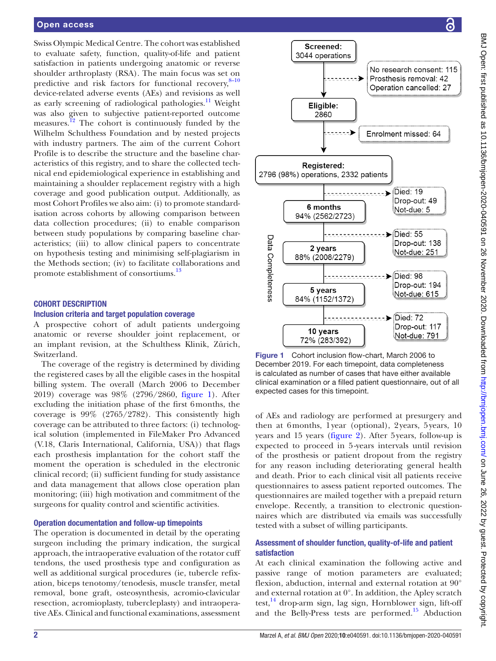## Open access

Swiss Olympic Medical Centre. The cohort was established to evaluate safety, function, quality-of-life and patient satisfaction in patients undergoing anatomic or reverse shoulder arthroplasty (RSA). The main focus was set on predictive and risk factors for functional recovery, $8-10$ device-related adverse events (AEs) and revisions as well as early screening of radiological pathologies.<sup>11</sup> Weight was also given to subjective patient-reported outcome measures.<sup>12</sup> The cohort is continuously funded by the Wilhelm Schulthess Foundation and by nested projects with industry partners. The aim of the current Cohort Profile is to describe the structure and the baseline characteristics of this registry, and to share the collected technical end epidemiological experience in establishing and maintaining a shoulder replacement registry with a high coverage and good publication output. Additionally, as most Cohort Profiles we also aim: (i) to promote standardisation across cohorts by allowing comparison between data collection procedures; (ii) to enable comparison between study populations by comparing baseline characteristics; (iii) to allow clinical papers to concentrate on hypothesis testing and minimising self-plagiarism in the Methods section; (iv) to facilitate collaborations and promote establishment of consortiums[.13](#page-7-3)

## COHORT DESCRIPTION

#### Inclusion criteria and target population coverage

A prospective cohort of adult patients undergoing anatomic or reverse shoulder joint replacement, or an implant revision, at the Schulthess Klinik, Zürich, Switzerland.

The coverage of the registry is determined by dividing the registered cases by all the eligible cases in the hospital billing system. The overall (March 2006 to December 2019) coverage was 98% (2796/2860, [figure](#page-1-0) 1). After excluding the initiation phase of the first 6months, the coverage is 99% (2765/2782). This consistently high coverage can be attributed to three factors: (i) technological solution (implemented in FileMaker Pro Advanced (V.18, Claris International, California, USA)) that flags each prosthesis implantation for the cohort staff the moment the operation is scheduled in the electronic clinical record; (ii) sufficient funding for study assistance and data management that allows close operation plan monitoring; (iii) high motivation and commitment of the surgeons for quality control and scientific activities.

#### Operation documentation and follow-up timepoints

The operation is documented in detail by the operating surgeon including the primary indication, the surgical approach, the intraoperative evaluation of the rotator cuff tendons, the used prosthesis type and configuration as well as additional surgical procedures (ie, tubercle refixation, biceps tenotomy/tenodesis, muscle transfer, metal removal, bone graft, osteosynthesis, acromio-clavicular resection, acromioplasty, tubercleplasty) and intraoperative AEs. Clinical and functional examinations, assessment



<span id="page-1-0"></span>Figure 1 Cohort inclusion flow-chart, March 2006 to December 2019. For each timepoint, data completeness is calculated as number of cases that have either available clinical examination or a filled patient questionnaire, out of all expected cases for this timepoint.

of AEs and radiology are performed at presurgery and then at 6months, 1year (optional), 2years, 5years, 10 years and 15 years [\(figure](#page-2-0) 2). After 5years, follow-up is expected to proceed in 5-years intervals until revision of the prosthesis or patient dropout from the registry for any reason including deteriorating general health and death. Prior to each clinical visit all patients receive questionnaires to assess patient reported outcomes. The questionnaires are mailed together with a prepaid return envelope. Recently, a transition to electronic questionnaires which are distributed via emails was successfully tested with a subset of willing participants.

# Assessment of shoulder function, quality-of-life and patient satisfaction

At each clinical examination the following active and passive range of motion parameters are evaluated; flexion, abduction, internal and external rotation at 90° and external rotation at 0°. In addition, the Apley scratch  $test<sup>14</sup>$  drop-arm sign, lag sign, Hornblower sign, lift-off and the Belly-Press tests are performed. $15$  Abduction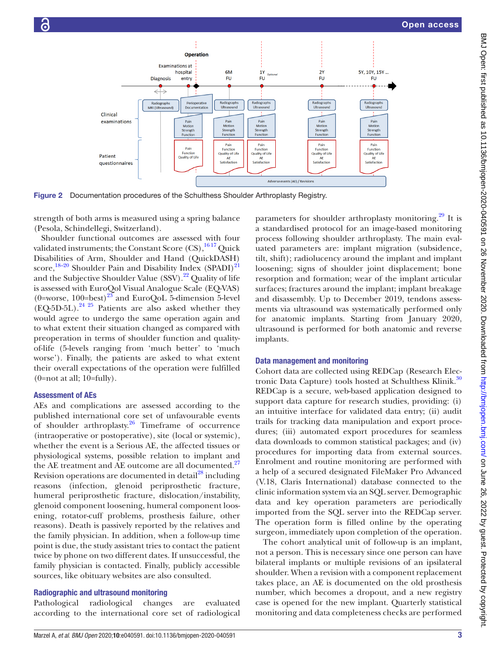

Figure 2 Documentation procedures of the Schulthess Shoulder Arthroplasty Registry.

strength of both arms is measured using a spring balance (Pesola, Schindellegi, Switzerland).

Shoulder functional outcomes are assessed with four validated instruments; the Constant Score  $(CS)$ ,  $^{1617}$  Quick Disabilities of Arm, Shoulder and Hand (QuickDASH) score, $18-20$  Shoulder Pain and Disability Index (SPADI)<sup>21</sup> and the Subjective Shoulder Value  $(SSV)$ .<sup>22</sup> Quality of life is assessed with EuroQol Visual Analogue Scale (EQ-VAS) (0=worse,  $100=best$ )<sup>[23](#page-7-10)</sup> and EuroQoL 5-dimension 5-level  $(EQ-5D-5L).^{24}$   $25$  Patients are also asked whether they would agree to undergo the same operation again and to what extent their situation changed as compared with preoperation in terms of shoulder function and qualityof-life (5-levels ranging from 'much better' to 'much worse'). Finally, the patients are asked to what extent their overall expectations of the operation were fulfilled  $(0=not at all; 10=fully).$ 

# Assessment of AEs

AEs and complications are assessed according to the published international core set of unfavourable events of shoulder arthroplasty. $26$  Timeframe of occurrence (intraoperative or postoperative), site (local or systemic), whether the event is a Serious AE, the affected tissues or physiological systems, possible relation to implant and the AE treatment and AE outcome are all documented.<sup>[27](#page-7-13)</sup> Revision operations are documented in detail<sup>28</sup> including reasons (infection, glenoid periprosthetic fracture, humeral periprosthetic fracture, dislocation/instability, glenoid component loosening, humeral component loosening, rotator-cuff problems, prosthesis failure, other reasons). Death is passively reported by the relatives and the family physician. In addition, when a follow-up time point is due, the study assistant tries to contact the patient twice by phone on two different dates. If unsuccessful, the family physician is contacted. Finally, publicly accessible sources, like obituary websites are also consulted.

# Radiographic and ultrasound monitoring

Pathological radiological changes are evaluated according to the international core set of radiological

<span id="page-2-0"></span>parameters for shoulder arthroplasty monitoring.<sup>29</sup> It is a standardised protocol for an image-based monitoring process following shoulder arthroplasty. The main evaluated parameters are: implant migration (subsidence, tilt, shift); radiolucency around the implant and implant loosening; signs of shoulder joint displacement; bone resorption and formation; wear of the implant articular surfaces; fractures around the implant; implant breakage and disassembly. Up to December 2019, tendons assessments via ultrasound was systematically performed only for anatomic implants. Starting from January 2020, ultrasound is performed for both anatomic and reverse implants.

## Data management and monitoring

Cohort data are collected using REDCap (Research Elec-tronic Data Capture) tools hosted at Schulthess Klinik.<sup>[30](#page-7-16)</sup> REDCap is a secure, web-based application designed to support data capture for research studies, providing: (i) an intuitive interface for validated data entry; (ii) audit trails for tracking data manipulation and export procedures; (iii) automated export procedures for seamless data downloads to common statistical packages; and (iv) procedures for importing data from external sources. Enrolment and routine monitoring are performed with a help of a secured designated FileMaker Pro Advanced (V.18, Claris International) database connected to the clinic information system via an SQL server. Demographic data and key operation parameters are periodically imported from the SQL server into the REDCap server. The operation form is filled online by the operating surgeon, immediately upon completion of the operation.

The cohort analytical unit of follow-up is an implant, not a person. This is necessary since one person can have bilateral implants or multiple revisions of an ipsilateral shoulder. When a revision with a component replacement takes place, an AE is documented on the old prosthesis number, which becomes a dropout, and a new registry case is opened for the new implant. Quarterly statistical monitoring and data completeness checks are performed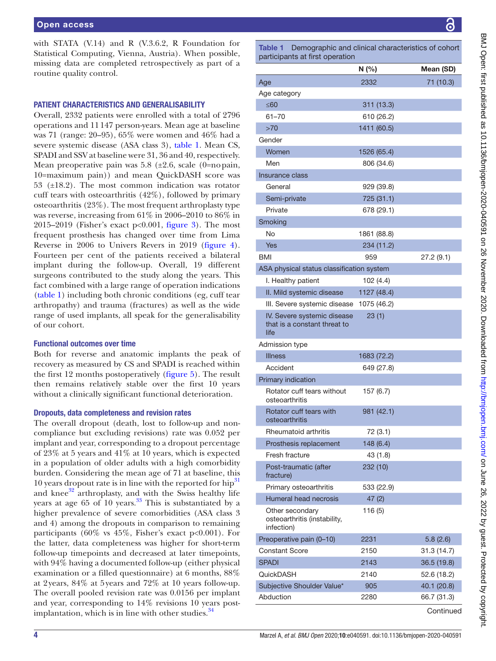with STATA (V.14) and R (V.3.6.2, R Foundation for Statistical Computing, Vienna, Austria). When possible, missing data are completed retrospectively as part of a routine quality control.

# PATIENT CHARACTERISTICS AND GENERALISABILITY

Overall, 2332 patients were enrolled with a total of 2796 operations and 11147 person-years. Mean age at baseline was 71 (range: 20–95), 65% were women and 46% had a severe systemic disease (ASA class 3), [table](#page-3-0) 1. Mean CS, SPADI and SSV at baseline were 31, 36 and 40, respectively. Mean preoperative pain was  $5.8$  ( $\pm 2.6$ , scale (0=nopain, 10=maximum pain)) and mean QuickDASH score was 53 (±18.2). The most common indication was rotator cuff tears with osteoarthritis (42%), followed by primary osteoarthritis (23%). The most frequent arthroplasty type was reverse, increasing from 61% in 2006–2010 to 86% in 2015–2019 (Fisher's exact p<0.001, [figure](#page-4-0) 3). The most frequent prosthesis has changed over time from Lima Reverse in 2006 to Univers Revers in 2019 ([figure](#page-5-0) 4). Fourteen per cent of the patients received a bilateral implant during the follow-up. Overall, 19 different surgeons contributed to the study along the years. This fact combined with a large range of operation indications ([table](#page-3-0) 1) including both chronic conditions (eg, cuff tear arthropathy) and trauma (fractures) as well as the wide range of used implants, all speak for the generalisability of our cohort.

## Functional outcomes over time

Both for reverse and anatomic implants the peak of recovery as measured by CS and SPADI is reached within the first 12 months postoperatively [\(figure](#page-5-1) 5). The result then remains relatively stable over the first 10 years without a clinically significant functional deterioration.

## Dropouts, data completeness and revision rates

The overall dropout (death, lost to follow-up and noncompliance but excluding revisions) rate was 0.052 per implant and year, corresponding to a dropout percentage of 23% at 5 years and 41% at 10 years, which is expected in a population of older adults with a high comorbidity burden. Considering the mean age of 71 at baseline, this 10 years dropout rate is in line with the reported for  $\text{hip}^{31}$  $\text{hip}^{31}$  $\text{hip}^{31}$ and knee $32$  arthroplasty, and with the Swiss healthy life years at age 65 of 10 years. $33$  This is substantiated by a higher prevalence of severe comorbidities (ASA class 3 and 4) among the dropouts in comparison to remaining participants (60% vs 45%, Fisher's exact p<0.001). For the latter, data completeness was higher for short-term follow-up timepoints and decreased at later timepoints, with 94% having a documented follow-up (either physical examination or a filled questionnaire) at 6 months, 88% at 2years, 84% at 5years and 72% at 10 years follow-up. The overall pooled revision rate was 0.0156 per implant and year, corresponding to 14% revisions 10 years postimplantation, which is in line with other studies. $34$ 

<span id="page-3-0"></span>Table 1 Demographic and clinical characteristics of cohort participants at first operation

|                                                               | N(%)        | Mean (SD)   |
|---------------------------------------------------------------|-------------|-------------|
| Age                                                           | 2332        | 71 (10.3)   |
| Age category                                                  |             |             |
| ≤60                                                           | 311 (13.3)  |             |
| $61 - 70$                                                     | 610 (26.2)  |             |
| >70                                                           | 1411 (60.5) |             |
| Gender                                                        |             |             |
| Women                                                         | 1526 (65.4) |             |
| Men                                                           | 806 (34.6)  |             |
| Insurance class                                               |             |             |
| General                                                       | 929 (39.8)  |             |
| Semi-private                                                  | 725 (31.1)  |             |
| Private                                                       | 678 (29.1)  |             |
| Smoking                                                       |             |             |
| No                                                            | 1861 (88.8) |             |
| Yes                                                           | 234 (11.2)  |             |
| <b>BMI</b>                                                    | 959         | 27.2(9.1)   |
| ASA physical status classification system                     |             |             |
| I. Healthy patient                                            | 102(4.4)    |             |
| II. Mild systemic disease                                     | 1127 (48.4) |             |
| III. Severe systemic disease                                  | 1075 (46.2) |             |
| IV. Severe systemic disease<br>that is a constant threat to   | 23(1)       |             |
| life                                                          |             |             |
| Admission type                                                |             |             |
| <b>Illness</b>                                                | 1683 (72.2) |             |
| Accident                                                      | 649 (27.8)  |             |
| Primary indication                                            |             |             |
| Rotator cuff tears without<br>osteoarthritis                  | 157 (6.7)   |             |
| Rotator cuff tears with<br>osteoarthritis                     | 981 (42.1)  |             |
| Rheumatoid arthritis                                          | 72 (3.1)    |             |
| Prosthesis replacement                                        | 148 (6.4)   |             |
| Fresh fracture                                                | 43 (1.8)    |             |
| Post-traumatic (after<br>fracture)                            | 232 (10)    |             |
| Primary osteoarthritis                                        | 533 (22.9)  |             |
| Humeral head necrosis                                         | 47(2)       |             |
| Other secondary<br>osteoarthritis (instability,<br>infection) | 116(5)      |             |
| Preoperative pain (0-10)                                      | 2231        | 5.8(2.6)    |
| <b>Constant Score</b>                                         | 2150        | 31.3 (14.7) |
| <b>SPADI</b>                                                  | 2143        | 36.5 (19.8) |
| QuickDASH                                                     | 2140        | 52.6 (18.2) |
| Subjective Shoulder Value*                                    | 905         | 40.1 (20.8) |
| Abduction                                                     | 2280        | 66.7 (31.3) |
|                                                               |             | Continued   |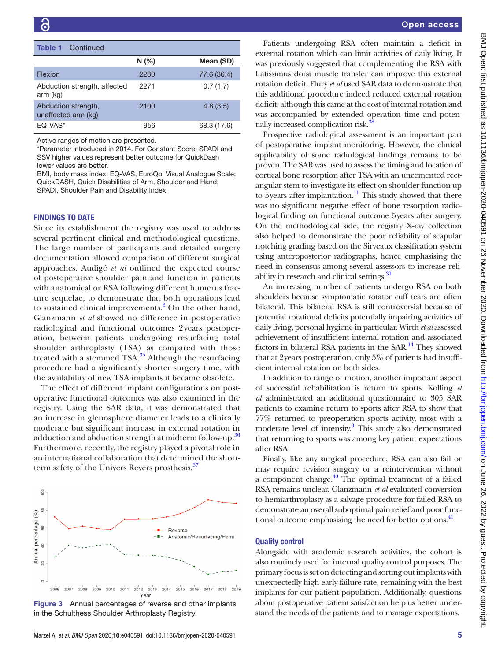| <b>Table 1</b> Continued                   |      |             |
|--------------------------------------------|------|-------------|
|                                            | N(%) | Mean (SD)   |
| Flexion                                    | 2280 | 77.6 (36.4) |
| Abduction strength, affected<br>arm (kg)   | 2271 | 0.7(1.7)    |
| Abduction strength,<br>unaffected arm (kg) | 2100 | 4.8(3.5)    |
| EQ-VAS*                                    | 956  | 68.3 (17.6) |

Active ranges of motion are presented.

\*Parameter introduced in 2014. For Constant Score, SPADI and SSV higher values represent better outcome for QuickDash lower values are better.

BMI, body mass index; EQ-VAS, EuroQol Visual Analogue Scale; QuickDASH, Quick Disabilities of Arm, Shoulder and Hand; SPADI, Shoulder Pain and Disability Index.

#### FINDINGS TO DATE

Since its establishment the registry was used to address several pertinent clinical and methodological questions. The large number of participants and detailed surgery documentation allowed comparison of different surgical approaches. Audigé *et al* outlined the expected course of postoperative shoulder pain and function in patients with anatomical or RSA following different humerus fracture sequelae, to demonstrate that both operations lead to sustained clinical improvements.<sup>[8](#page-7-0)</sup> On the other hand, Glanzmann *et al* showed no difference in postoperative radiological and functional outcomes 2years postoperation, between patients undergoing resurfacing total shoulder arthroplasty (TSA) as compared with those treated with a stemmed TSA.<sup>[35](#page-7-21)</sup> Although the resurfacing procedure had a significantly shorter surgery time, with the availability of new TSA implants it became obsolete.

The effect of different implant configurations on postoperative functional outcomes was also examined in the registry. Using the SAR data, it was demonstrated that an increase in glenosphere diameter leads to a clinically moderate but significant increase in external rotation in adduction and abduction strength at midterm follow-up.  $^{36}$  $^{36}$  $^{36}$ Furthermore, recently, the registry played a pivotal role in an international collaboration that determined the shortterm safety of the Univers Revers prosthesis.<sup>37</sup>



<span id="page-4-0"></span>Figure 3 Annual percentages of reverse and other implants in the Schulthess Shoulder Arthroplasty Registry.

Patients undergoing RSA often maintain a deficit in external rotation which can limit activities of daily living. It was previously suggested that complementing the RSA with Latissimus dorsi muscle transfer can improve this external rotation deficit. Flury *et al* used SAR data to demonstrate that this additional procedure indeed reduced external rotation deficit, although this came at the cost of internal rotation and was accompanied by extended operation time and potentially increased complication risk. $38$ 

Prospective radiological assessment is an important part of postoperative implant monitoring. However, the clinical applicability of some radiological findings remains to be proven. The SAR was used to assess the timing and location of cortical bone resorption after TSA with an uncemented rectangular stem to investigate its effect on shoulder function up to 5years after implantation. $11$  This study showed that there was no significant negative effect of bone resorption radiological finding on functional outcome 5years after surgery. On the methodological side, the registry X-ray collection also helped to demonstrate the poor reliability of scapular notching grading based on the Sirveaux classification system using anteroposterior radiographs, hence emphasising the need in consensus among several assessors to increase reli-ability in research and clinical settings.<sup>[39](#page-7-25)</sup>

An increasing number of patients undergo RSA on both shoulders because symptomatic rotator cuff tears are often bilateral. This bilateral RSA is still controversial because of potential rotational deficits potentially impairing activities of daily living, personal hygiene in particular. Wirth *et al* assessed achievement of insufficient internal rotation and associated factors in bilateral RSA patients in the SAR.<sup>14</sup> They showed that at 2years postoperation, only 5% of patients had insufficient internal rotation on both sides.

In addition to range of motion, another important aspect of successful rehabilitation is return to sports. Kolling *et al* administrated an additional questionnaire to 305 SAR patients to examine return to sports after RSA to show that 77% returned to preoperation sports activity, most with a moderate level of intensity.<sup>9</sup> This study also demonstrated that returning to sports was among key patient expectations after RSA.

Finally, like any surgical procedure, RSA can also fail or may require revision surgery or a reintervention without a component change. $40$  The optimal treatment of a failed RSA remains unclear. Glanzmann *et al* evaluated conversion to hemiarthroplasty as a salvage procedure for failed RSA to demonstrate an overall suboptimal pain relief and poor functional outcome emphasising the need for better options.<sup>41</sup>

#### Quality control

Alongside with academic research activities, the cohort is also routinely used for internal quality control purposes. The primary focus is set on detecting and sorting out implants with unexpectedly high early failure rate, remaining with the best implants for our patient population. Additionally, questions about postoperative patient satisfaction help us better understand the needs of the patients and to manage expectations.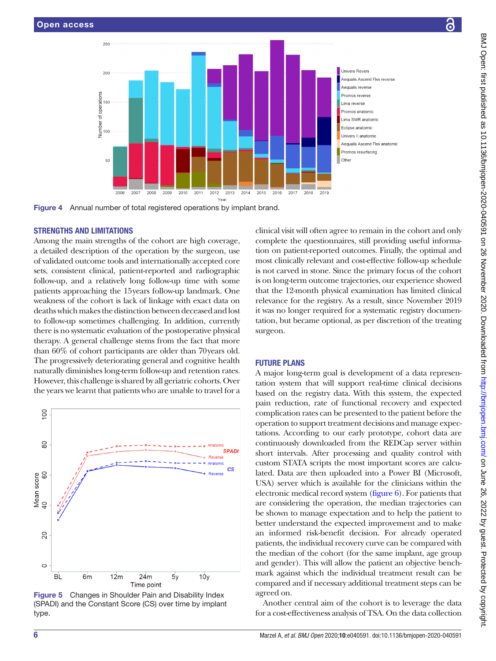

Figure 4 Annual number of total registered operations by implant brand.

#### STRENGTHS AND LIMITATIONS

Among the main strengths of the cohort are high coverage, a detailed description of the operation by the surgeon, use of validated outcome tools and internationally accepted core sets, consistent clinical, patient-reported and radiographic follow-up, and a relatively long follow-up time with some patients approaching the 15years follow-up landmark. One weakness of the cohort is lack of linkage with exact data on deaths which makes the distinction between deceased and lost to follow-up sometimes challenging. In addition, currently there is no systematic evaluation of the postoperative physical therapy. A general challenge stems from the fact that more than 60% of cohort participants are older than 70years old. The progressively deteriorating general and cognitive health naturally diminishes long-term follow-up and retention rates. However, this challenge is shared by all geriatric cohorts. Over the years we learnt that patients who are unable to travel for a



<span id="page-5-1"></span>Figure 5 Changes in Shoulder Pain and Disability Index (SPADI) and the Constant Score (CS) over time by implant type.

<span id="page-5-0"></span>clinical visit will often agree to remain in the cohort and only complete the questionnaires, still providing useful information on patient-reported outcomes. Finally, the optimal and most clinically relevant and cost-effective follow-up schedule is not carved in stone. Since the primary focus of the cohort is on long-term outcome trajectories, our experience showed that the 12-month physical examination has limited clinical relevance for the registry. As a result, since November 2019 it was no longer required for a systematic registry documentation, but became optional, as per discretion of the treating surgeon.

# FUTURE PLANS

A major long-term goal is development of a data representation system that will support real-time clinical decisions based on the registry data. With this system, the expected pain reduction, rate of functional recovery and expected complication rates can be presented to the patient before the operation to support treatment decisions and manage expectations. According to our early prototype, cohort data are continuously downloaded from the REDCap server within short intervals. After processing and quality control with custom STATA scripts the most important scores are calculated. Data are then uploaded into a Power BI (Microsoft, USA) server which is available for the clinicians within the electronic medical record system [\(figure](#page-6-5) 6). For patients that are considering the operation, the median trajectories can be shown to manage expectation and to help the patient to better understand the expected improvement and to make an informed risk-benefit decision. For already operated patients, the individual recovery curve can be compared with the median of the cohort (for the same implant, age group and gender). This will allow the patient an objective benchmark against which the individual treatment result can be compared and if necessary additional treatment steps can be agreed on.

Another central aim of the cohort is to leverage the data for a cost-effectiveness analysis of TSA. On the data collection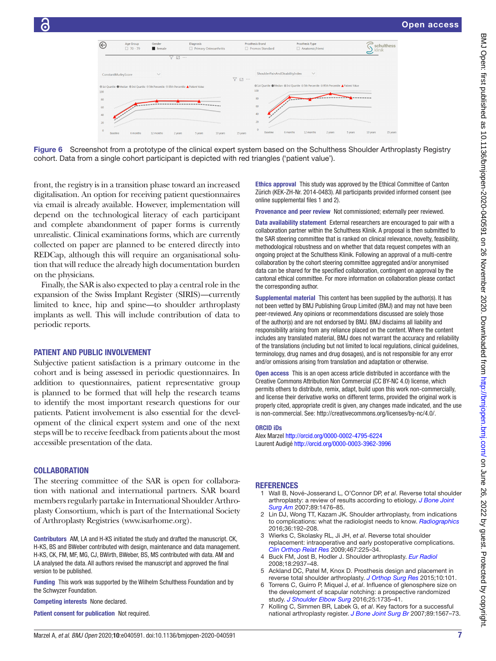

Figure 6 Screenshot from a prototype of the clinical expert system based on the Schulthess Shoulder Arthroplasty Registry cohort. Data from a single cohort participant is depicted with red triangles ('patient value').

front, the registry is in a transition phase toward an increased digitalisation. An option for receiving patient questionnaires via email is already available. However, implementation will depend on the technological literacy of each participant and complete abandonment of paper forms is currently unrealistic. Clinical examinations forms, which are currently collected on paper are planned to be entered directly into REDCap, although this will require an organisational solution that will reduce the already high documentation burden on the physicians.

Finally, the SAR is also expected to play a central role in the expansion of the Swiss Implant Register (SIRIS)—currently limited to knee, hip and spine—to shoulder arthroplasty implants as well. This will include contribution of data to periodic reports.

# PATIENT AND PUBLIC INVOLVEMENT

Subjective patient satisfaction is a primary outcome in the cohort and is being assessed in periodic questionnaires. In addition to questionnaires, patient representative group is planned to be formed that will help the research teams to identify the most important research questions for our patients. Patient involvement is also essential for the development of the clinical expert system and one of the next steps will be to receive feedback from patients about the most accessible presentation of the data.

#### **COLLABORATION**

The steering committee of the SAR is open for collaboration with national and international partners. SAR board members regularly partake in International Shoulder Arthroplasty Consortium, which is part of the International Society of Arthroplasty Registries ([www.isarhome.org\)](www.isarhome.org).

Contributors AM, LA and H-KS initiated the study and drafted the manuscript. CK, H-KS, BS and BWeber contributed with design, maintenance and data management. H-KS, CK, FM, MF, MG, CJ, BWirth, BWeber, BS, MS contributed with data. AM and LA analysed the data. All authors revised the manuscript and approved the final version to be published.

Funding This work was supported by the Wilhelm Schulthess Foundation and by the Schwyzer Foundation.

Competing interests None declared.

Patient consent for publication Not required.

<span id="page-6-5"></span>Ethics approval This study was approved by the Ethical Committee of Canton Zürich (KEK-ZH-Nr. 2014-0483). All participants provided informed consent (see online supplemental files 1 and 2).

Provenance and peer review Not commissioned; externally peer reviewed.

Data availability statement External researchers are encouraged to pair with a collaboration partner within the Schulthess Klinik. A proposal is then submitted to the SAR steering committee that is ranked on clinical relevance, novelty, feasibility, methodological robustness and on whether that data request competes with an ongoing project at the Schulthess Klinik. Following an approval of a multi-centre collaboration by the cohort steering committee aggregated and/or anonymised data can be shared for the specified collaboration, contingent on approval by the cantonal ethical committee. For more information on collaboration please contact the corresponding author.

Supplemental material This content has been supplied by the author(s). It has not been vetted by BMJ Publishing Group Limited (BMJ) and may not have been peer-reviewed. Any opinions or recommendations discussed are solely those of the author(s) and are not endorsed by BMJ. BMJ disclaims all liability and responsibility arising from any reliance placed on the content. Where the content includes any translated material, BMJ does not warrant the accuracy and reliability of the translations (including but not limited to local regulations, clinical guidelines, terminology, drug names and drug dosages), and is not responsible for any error and/or omissions arising from translation and adaptation or otherwise.

Open access This is an open access article distributed in accordance with the Creative Commons Attribution Non Commercial (CC BY-NC 4.0) license, which permits others to distribute, remix, adapt, build upon this work non-commercially, and license their derivative works on different terms, provided the original work is properly cited, appropriate credit is given, any changes made indicated, and the use is non-commercial. See: [http://creativecommons.org/licenses/by-nc/4.0/.](http://creativecommons.org/licenses/by-nc/4.0/)

#### ORCID iDs

Alex Marzel<http://orcid.org/0000-0002-4795-6224> Laurent Audigé <http://orcid.org/0000-0003-3962-3996>

#### **REFERENCES**

- <span id="page-6-0"></span>1 Wall B, Nové-Josserand L, O'Connor DP, *et al*. Reverse total shoulder arthroplasty: a review of results according to etiology. *[J Bone Joint](http://dx.doi.org/10.2106/JBJS.F.00666)  [Surg Am](http://dx.doi.org/10.2106/JBJS.F.00666)* 2007;89:1476–85.
- 2 Lin DJ, Wong TT, Kazam JK. Shoulder arthroplasty, from indications to complications: what the radiologist needs to know. *[Radiographics](http://dx.doi.org/10.1148/rg.2016150055)* 2016;36:192–208.
- <span id="page-6-1"></span>3 Wierks C, Skolasky RL, Ji JH, *et al*. Reverse total shoulder replacement: intraoperative and early postoperative complications. *[Clin Orthop Relat Res](http://dx.doi.org/10.1007/s11999-008-0406-1)* 2009;467:225–34.
- <span id="page-6-2"></span>4 Buck FM, Jost B, Hodler J. Shoulder arthroplasty. *[Eur Radiol](http://dx.doi.org/10.1007/s00330-008-1093-8)* 2008;18:2937–48.
- <span id="page-6-3"></span>5 Ackland DC, Patel M, Knox D. Prosthesis design and placement in reverse total shoulder arthroplasty. *[J Orthop Surg Res](http://dx.doi.org/10.1186/s13018-015-0244-2)* 2015;10:101.
- 6 Torrens C, Guirro P, Miquel J, *et al*. Influence of glenosphere size on the development of scapular notching: a prospective randomized study. *[J Shoulder Elbow Surg](http://dx.doi.org/10.1016/j.jse.2016.07.006)* 2016;25:1735–41.
- <span id="page-6-4"></span>7 Kolling C, Simmen BR, Labek G, *et al*. Key factors for a successful national arthroplasty register. *[J Bone Joint Surg Br](http://dx.doi.org/10.1302/0301-620X.89B12.19409)* 2007;89:1567–73.